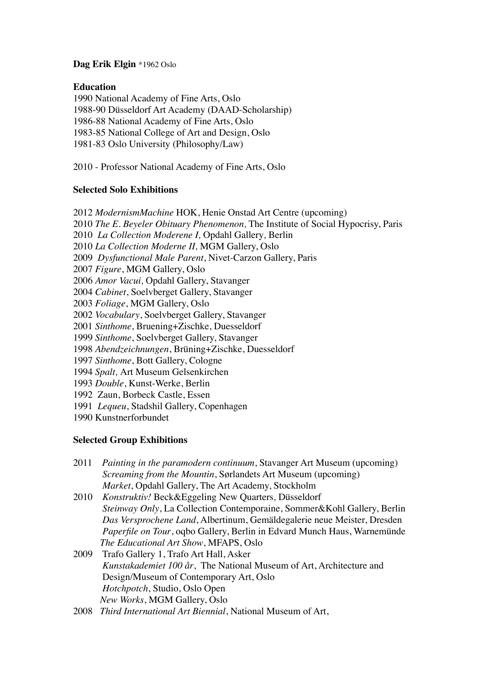# **Dag Erik Elgin** \*1962 Oslo

## **Education**

1990 National Academy of Fine Arts, Oslo 1988-90 Düsseldorf Art Academy (DAAD-Scholarship) 1986-88 National Academy of Fine Arts, Oslo 1983-85 National College of Art and Design, Oslo 1981-83 Oslo University (Philosophy/Law)

2010 - Professor National Academy of Fine Arts, Oslo

# **Selected Solo Exhibitions**

2012 *ModernismMachine* HOK, Henie Onstad Art Centre (upcoming)

2010 *The E. Beyeler Obituary Phenomenon,* The Institute of Social Hypocrisy, Paris

2010 *La Collection Moderene I,* Opdahl Gallery*,* Berlin

2010 *La Collection Moderne II,* MGM Gallery, Oslo

2009 *Dysfunctional Male Parent*, Nivet-Carzon Gallery, Paris

2007 *Figure*, MGM Gallery, Oslo

2006 *Amor Vacui,* Opdahl Gallery, Stavanger

2004 *Cabinet*, Soelvberget Gallery, Stavanger

2003 *Foliage*, MGM Gallery, Oslo

2002 *Vocabulary*, Soelvberget Gallery, Stavanger

2001 *Sinthome*, Bruening+Zischke, Duesseldorf

1999 *Sinthome*, Soelvberget Gallery, Stavanger

1998 *Abendzeichnungen*, Brüning+Zischke, Duesseldorf

1997 *Sinthome*, Bott Gallery, Cologne

1994 *Spalt,* Art Museum Gelsenkirchen

1993 *Double*, Kunst-Werke, Berlin

1992 Zaun, Borbeck Castle, Essen

1991 *Lequeu*, Stadshil Gallery, Copenhagen

1990 Kunstnerforbundet

# **Selected Group Exhibitions**

- 2011 *Painting in the paramodern continuum*, Stavanger Art Museum (upcoming) *Screaming from the Mountin*, Sørlandets Art Museum (upcoming) *Market*, Opdahl Gallery, The Art Academy, Stockholm
- 2010 *Konstruktiv!* Beck&Eggeling New Quarters*,* Düsseldorf *Steinway Only*, La Collection Contemporaine, Sommer&Kohl Gallery, Berlin *Das Versprochene Land*, Albertinum, Gemäldegalerie neue Meister, Dresden *Paperfile on Tour*, oqbo Gallery, Berlin in Edvard Munch Haus, Warnemünde *The Educational Art Show*, MFAPS, Oslo
- 2009 Trafo Gallery 1, Trafo Art Hall, Asker *Kunstakademiet 100 år*, The National Museum of Art, Architecture and Design/Museum of Contemporary Art, Oslo *Hotchpotch*, Studio, Oslo Open *New Works*, MGM Gallery, Oslo
- 2008 *Third International Art Biennial*, National Museum of Art,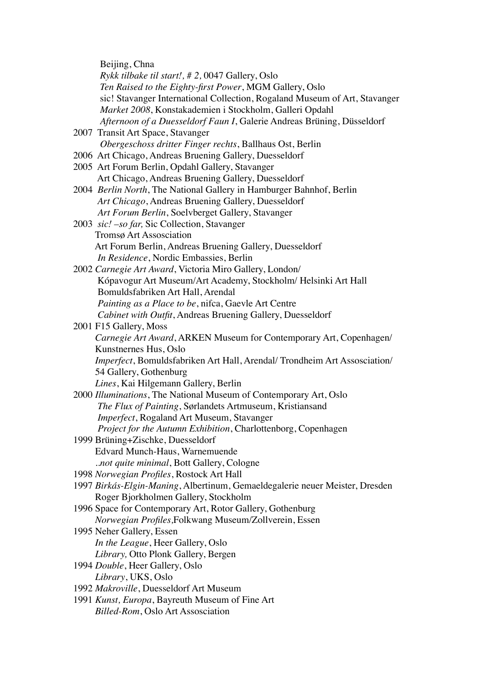Beijing, Chna *Rykk tilbake til start!, # 2,* 0047 Gallery, Oslo *Ten Raised to the Eighty-first Power*, MGM Gallery, Oslo sic! Stavanger International Collection, Rogaland Museum of Art, Stavanger *Market 2008*, Konstakademien i Stockholm, Galleri Opdahl *Afternoon of a Duesseldorf Faun I*, Galerie Andreas Brüning, Düsseldorf 2007 Transit Art Space, Stavanger *Obergeschoss dritter Finger rechts*, Ballhaus Ost, Berlin 2006 Art Chicago, Andreas Bruening Gallery, Duesseldorf 2005 Art Forum Berlin, Opdahl Gallery, Stavanger Art Chicago, Andreas Bruening Gallery, Duesseldorf 2004 *Berlin North*, The National Gallery in Hamburger Bahnhof, Berlin  *Art Chicago*, Andreas Bruening Gallery, Duesseldorf *Art Forum Berlin*, Soelvberget Gallery, Stavanger 2003 *sic! –so far,* Sic Collection, Stavanger Tromsø Art Assosciation Art Forum Berlin, Andreas Bruening Gallery, Duesseldorf *In Residence*, Nordic Embassies, Berlin 2002 *Carnegie Art Award*, Victoria Miro Gallery, London/ Kópavogur Art Museum/Art Academy, Stockholm/ Helsinki Art Hall Bomuldsfabriken Art Hall, Arendal *Painting as a Place to be*, nifca, Gaevle Art Centre *Cabinet with Outfit*, Andreas Bruening Gallery, Duesseldorf 2001 F15 Gallery, Moss *Carnegie Art Award*, ARKEN Museum for Contemporary Art, Copenhagen/ Kunstnernes Hus, Oslo *Imperfect*, Bomuldsfabriken Art Hall, Arendal/ Trondheim Art Assosciation/ 54 Gallery, Gothenburg *Lines*, Kai Hilgemann Gallery, Berlin 2000 *Illuminations*, The National Museum of Contemporary Art, Oslo *The Flux of Painting*, Sørlandets Artmuseum, Kristiansand *Imperfect*, Rogaland Art Museum, Stavanger *Project for the Autumn Exhibition*, Charlottenborg, Copenhagen 1999 Brüning+Zischke, Duesseldorf Edvard Munch-Haus, Warnemuende *..not quite minimal*, Bott Gallery, Cologne 1998 *Norwegian Profiles*, Rostock Art Hall 1997 *Birkás-Elgin-Maning*, Albertinum, Gemaeldegalerie neuer Meister, Dresden Roger Bjorkholmen Gallery, Stockholm 1996 Space for Contemporary Art, Rotor Gallery, Gothenburg *Norwegian Profiles,*Folkwang Museum/Zollverein, Essen 1995 Neher Gallery, Essen *In the League*, Heer Gallery, Oslo *Library,* Otto Plonk Gallery, Bergen 1994 *Double*, Heer Gallery, Oslo *Library*, UKS, Oslo 1992 *Makroville*, Duesseldorf Art Museum 1991 *Kunst, Europa*, Bayreuth Museum of Fine Art  *Billed-Rom*, Oslo Art Assosciation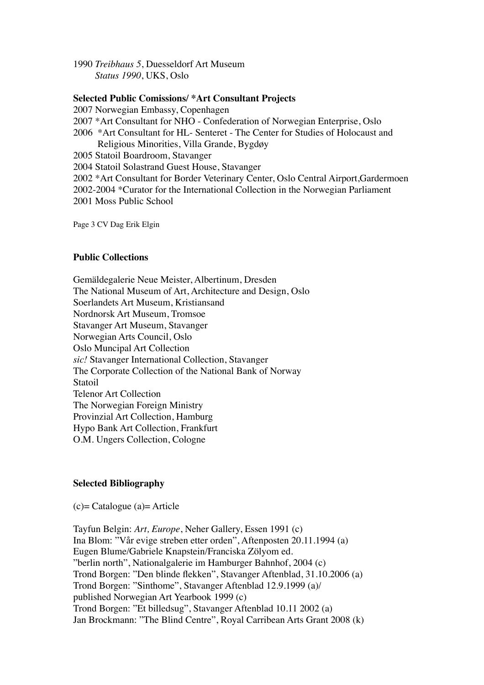1990 *Treibhaus 5*, Duesseldorf Art Museum *Status 1990*, UKS, Oslo

#### **Selected Public Comissions/ \*Art Consultant Projects**

2007 Norwegian Embassy, Copenhagen

- 2007 \*Art Consultant for NHO Confederation of Norwegian Enterprise, Oslo
- 2006 \*Art Consultant for HL- Senteret The Center for Studies of Holocaust and Religious Minorities, Villa Grande, Bygdøy
- 2005 Statoil Boardroom, Stavanger

2004 Statoil Solastrand Guest House, Stavanger

2002 \*Art Consultant for Border Veterinary Center, Oslo Central Airport,Gardermoen

2002-2004 \*Curator for the International Collection in the Norwegian Parliament 2001 Moss Public School

Page 3 CV Dag Erik Elgin

## **Public Collections**

Gemäldegalerie Neue Meister, Albertinum, Dresden The National Museum of Art, Architecture and Design, Oslo Soerlandets Art Museum, Kristiansand Nordnorsk Art Museum, Tromsoe Stavanger Art Museum, Stavanger Norwegian Arts Council, Oslo Oslo Muncipal Art Collection *sic!* Stavanger International Collection, Stavanger The Corporate Collection of the National Bank of Norway Statoil Telenor Art Collection The Norwegian Foreign Ministry Provinzial Art Collection, Hamburg Hypo Bank Art Collection, Frankfurt O.M. Ungers Collection, Cologne

## **Selected Bibliography**

(c)= Catalogue (a)= Article

Tayfun Belgin: *Art, Europe*, Neher Gallery, Essen 1991 (c) Ina Blom: "Vår evige streben etter orden", Aftenposten 20.11.1994 (a) Eugen Blume/Gabriele Knapstein/Franciska Zölyom ed. "berlin north", Nationalgalerie im Hamburger Bahnhof, 2004 (c) Trond Borgen: "Den blinde flekken", Stavanger Aftenblad, 31.10.2006 (a) Trond Borgen: "Sinthome", Stavanger Aftenblad 12.9.1999 (a)/ published Norwegian Art Yearbook 1999 (c) Trond Borgen: "Et billedsug", Stavanger Aftenblad 10.11 2002 (a) Jan Brockmann: "The Blind Centre", Royal Carribean Arts Grant 2008 (k)